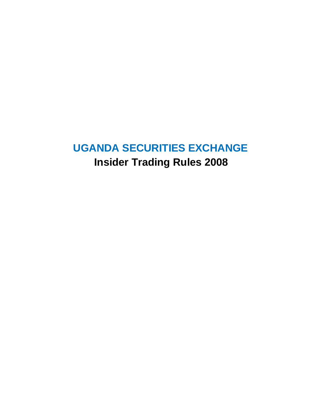# **UGANDA SECURITIES EXCHANGE Insider Trading Rules 2008**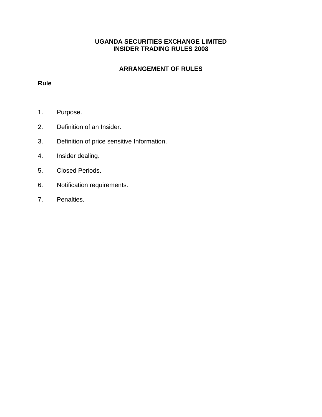# **UGANDA SECURITIES EXCHANGE LIMITED INSIDER TRADING RULES 2008**

# **ARRANGEMENT OF RULES**

# **Rule**

- 1. Purpose.
- 2. Definition of an Insider.
- 3. Definition of price sensitive Information.
- 4. Insider dealing.
- 5. Closed Periods.
- 6. Notification requirements.
- 7. Penalties.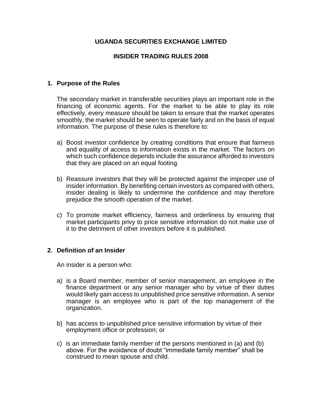# **UGANDA SECURITIES EXCHANGE LIMITED**

#### **INSIDER TRADING RULES 2008**

#### **1. Purpose of the Rules**

The secondary market in transferable securities plays an important role in the financing of economic agents. For the market to be able to play its role effectively, every measure should be taken to ensure that the market operates smoothly, the market should be seen to operate fairly and on the basis of equal information. The purpose of these rules is therefore to:

- a) Boost investor confidence by creating conditions that ensure that fairness and equality of access to information exists in the market. The factors on which such confidence depends include the assurance afforded to investors that they are placed on an equal footing.
- b) Reassure investors that they will be protected against the improper use of insider information. By benefiting certain investors as compared with others, insider dealing is likely to undermine the confidence and may therefore prejudice the smooth operation of the market.
- c) To promote market efficiency, fairness and orderliness by ensuring that market participants privy to price sensitive information do not make use of it to the detriment of other investors before it is published.

#### **2. Definition of an Insider**

An insider is a person who:

- a) is a Board member, member of senior management, an employee in the finance department or any senior manager who by virtue of their duties would likely gain access to unpublished price sensitive information. A senior manager is an employee who is part of the top management of the organization.
- b) has access to unpublished price sensitive information by virtue of their employment office or profession; or
- c) is an immediate family member of the persons mentioned in (a) and (b) above. For the avoidance of doubt "immediate family member" shall be construed to mean spouse and child.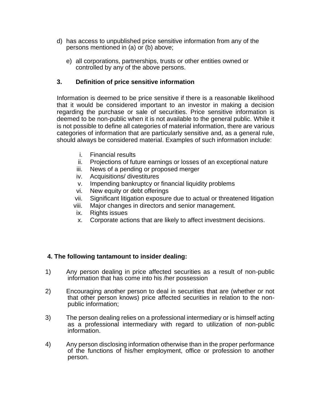- d) has access to unpublished price sensitive information from any of the persons mentioned in (a) or (b) above;
	- e) all corporations, partnerships, trusts or other entities owned or controlled by any of the above persons.

# **3. Definition of price sensitive information**

Information is deemed to be price sensitive if there is a reasonable likelihood that it would be considered important to an investor in making a decision regarding the purchase or sale of securities. Price sensitive information is deemed to be non-public when it is not available to the general public. While it is not possible to define all categories of material information, there are various categories of information that are particularly sensitive and, as a general rule, should always be considered material. Examples of such information include:

- i. Financial results
- ii. Projections of future earnings or losses of an exceptional nature
- iii. News of a pending or proposed merger
- iv. Acquisitions/ divestitures
- v. Impending bankruptcy or financial liquidity problems
- vi. New equity or debt offerings
- vii. Significant litigation exposure due to actual or threatened litigation
- viii. Major changes in directors and senior management.
- ix. Rights issues
- x. Corporate actions that are likely to affect investment decisions.

#### **4. The following tantamount to insider dealing:**

- 1) Any person dealing in price affected securities as a result of non-public information that has come into his /her possession
- 2) Encouraging another person to deal in securities that are (whether or not that other person knows) price affected securities in relation to the nonpublic information;
- 3) The person dealing relies on a professional intermediary or is himself acting as a professional intermediary with regard to utilization of non-public information.
- 4) Any person disclosing information otherwise than in the proper performance of the functions of his/her employment, office or profession to another person.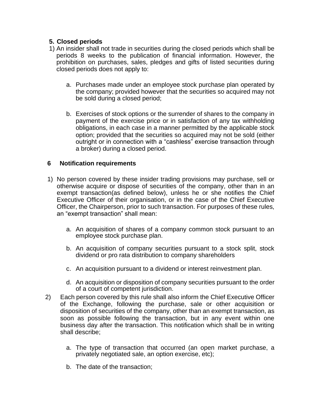# **5. Closed periods**

- 1) An insider shall not trade in securities during the closed periods which shall be periods 8 weeks to the publication of financial information. However, the prohibition on purchases, sales, pledges and gifts of listed securities during closed periods does not apply to:
	- a. Purchases made under an employee stock purchase plan operated by the company; provided however that the securities so acquired may not be sold during a closed period;
	- b. Exercises of stock options or the surrender of shares to the company in payment of the exercise price or in satisfaction of any tax withholding obligations, in each case in a manner permitted by the applicable stock option; provided that the securities so acquired may not be sold (either outright or in connection with a "cashless" exercise transaction through a broker) during a closed period.

#### **6 Notification requirements**

- 1) No person covered by these insider trading provisions may purchase, sell or otherwise acquire or dispose of securities of the company, other than in an exempt transaction(as defined below), unless he or she notifies the Chief Executive Officer of their organisation, or in the case of the Chief Executive Officer, the Chairperson, prior to such transaction. For purposes of these rules, an "exempt transaction" shall mean:
	- a. An acquisition of shares of a company common stock pursuant to an employee stock purchase plan.
	- b. An acquisition of company securities pursuant to a stock split, stock dividend or pro rata distribution to company shareholders
	- c. An acquisition pursuant to a dividend or interest reinvestment plan.
	- d. An acquisition or disposition of company securities pursuant to the order of a court of competent jurisdiction.
- 2) Each person covered by this rule shall also inform the Chief Executive Officer of the Exchange, following the purchase, sale or other acquisition or disposition of securities of the company, other than an exempt transaction, as soon as possible following the transaction, but in any event within one business day after the transaction. This notification which shall be in writing shall describe;
	- a. The type of transaction that occurred (an open market purchase, a privately negotiated sale, an option exercise, etc);
	- b. The date of the transaction;